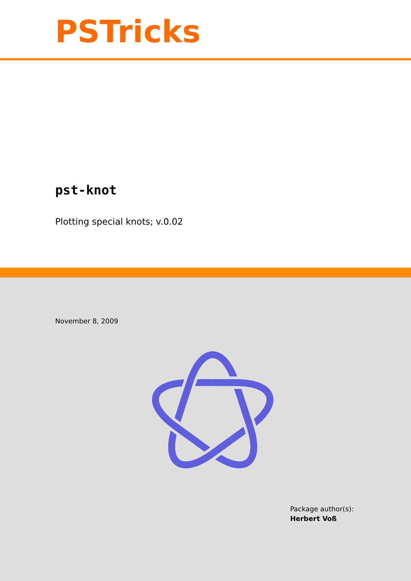

# **pst-knot**

Plotting special knots; v.0.02

November 8, 2009



Package author(s): **Herbert Voß**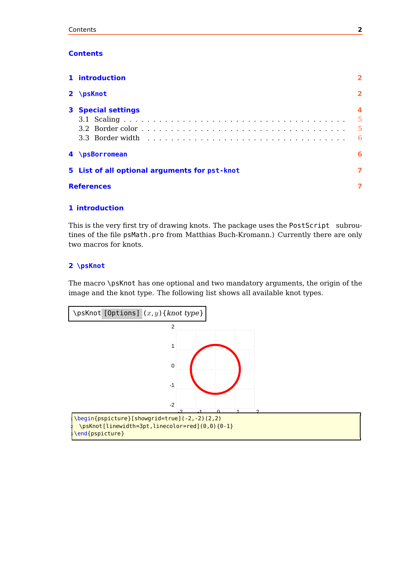# <span id="page-1-2"></span>**Contents**

| 1 introduction                                |                         |  |  |
|-----------------------------------------------|-------------------------|--|--|
| $2 \pmod{2}$                                  | $\overline{\mathbf{2}}$ |  |  |
| <b>3</b> Special settings                     | 5<br>-5<br>- 6          |  |  |
| 4 \psBorromean                                | 6                       |  |  |
| 5 List of all optional arguments for pst-knot | 7                       |  |  |
| <b>References</b>                             |                         |  |  |
|                                               |                         |  |  |

# <span id="page-1-0"></span>**1 introduction**

This is the very first try of drawing knots. The package uses the PostScript subroutines of the file psMath.pro from Matthias Buch-Kromann.) Currently there are only two macros for knots.

# <span id="page-1-1"></span>**2 \psKnot**

The macro \psKnot has one optional and two mandatory arguments, the origin of the image and the knot type. The following list shows all available knot types.

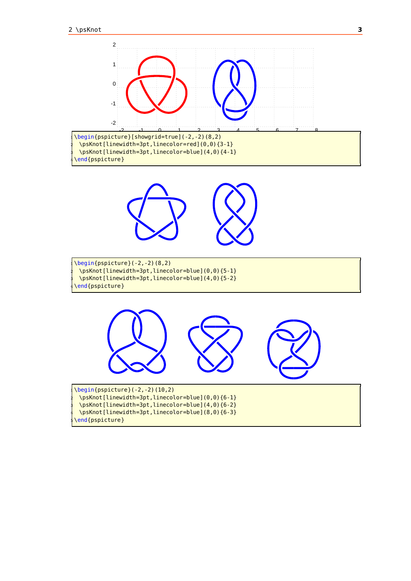

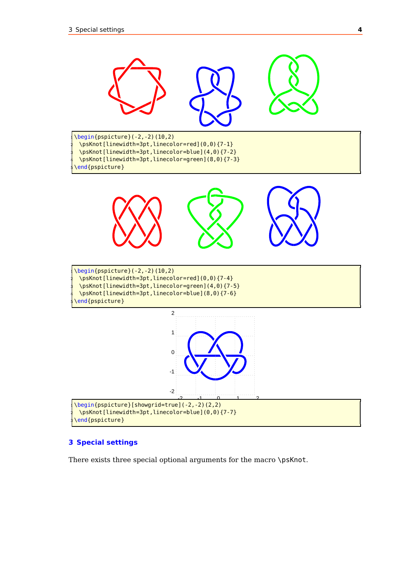<span id="page-3-1"></span>

## <span id="page-3-0"></span>**3 Special settings**

There exists three special optional arguments for the macro \psKnot.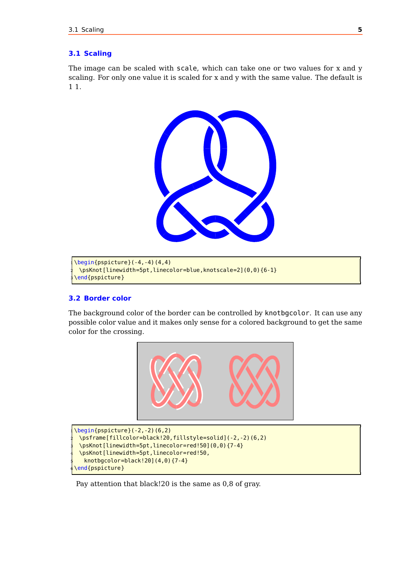## <span id="page-4-2"></span><span id="page-4-0"></span>**3.1 Scaling**

The image can be scaled with scale, which can take one or two values for x and y scaling. For only one value it is scaled for x and y with the same value. The default is 1 1.



```
\begin{equation*} \begin{array}{c} \texttt{(login} \texttt{(pspicture)} (-4,-4) \end{array} \end{equation*}\psKnot[linewidth=5pt,linecolor=blue,knotscale=2](0,0){6-1}
\end{pspicture}
```
## <span id="page-4-1"></span>**3.2 Border color**

The background color of the border can be controlled by knotbgcolor. It can use any possible color value and it makes only sense for a colored background to get the same color for the crossing.



```
\begin{bmatrix} \begin{array}{c} \text{begin{array}{c} \text{1} \end{array}} & \text{1} \\ \text{1} \end{array} \end{bmatrix}2 \psframe[fillcolor=black!20,fillstyle=solid](-2,-2)(6,2)
 \psKnot[linewidth=5pt,linecolor=red!50](0,0){7-4}
 4 \psKnot[linewidth=5pt,linecolor=red!50,
   knotbgcolor=black!20](4,0){7-4}
end{pspicture}
```
Pay attention that black!20 is the same as 0,8 of gray.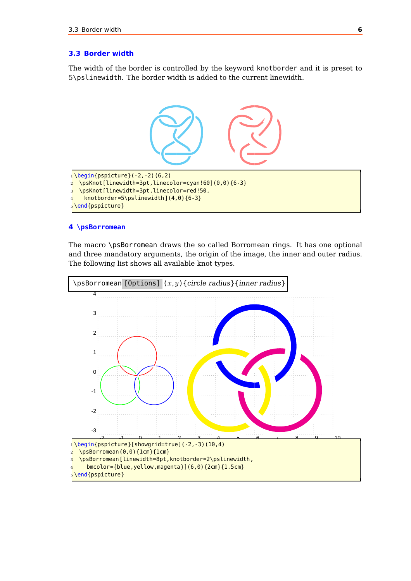## <span id="page-5-2"></span><span id="page-5-0"></span>**3.3 Border width**

The width of the border is controlled by the keyword knotborder and it is preset to \pslinewidth. The border width is added to the current linewidth.



## <span id="page-5-1"></span>**\psBorromean**

The macro \psBorromean draws the so called Borromean rings. It has one optional and three mandatory arguments, the origin of the image, the inner and outer radius. The following list shows all available knot types.

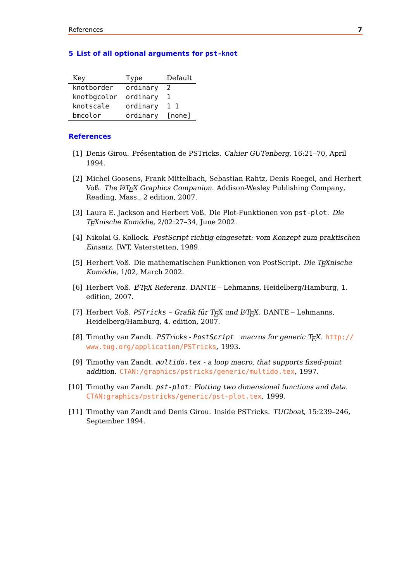#### <span id="page-6-0"></span>**5 List of all optional arguments for pst-knot**

| Key         | Type     | Default |
|-------------|----------|---------|
| knotborder  | ordinary | -2      |
| knotbgcolor | ordinary |         |
| knotscale   | ordinary | 11      |
| bmcolor     | ordinary | [none]  |

### <span id="page-6-1"></span>**References**

- [1] Denis Girou. Présentation de PSTricks. Cahier GUTenberg, 16:21–70, April 1994.
- [2] Michel Goosens, Frank Mittelbach, Sebastian Rahtz, Denis Roegel, and Herbert Voß. The L<sup>A</sup>T<sub>F</sub>X Graphics Companion. Addison-Wesley Publishing Company, Reading, Mass., 2 edition, 2007.
- [3] Laura E. Jackson and Herbert Voß. Die Plot-Funktionen von pst-plot. Die TEXnische Komödie, 2/02:27–34, June 2002.
- [4] Nikolai G. Kollock. PostScript richtig eingesetzt: vom Konzept zum praktischen Einsatz. IWT, Vaterstetten, 1989.
- [5] Herbert Voß. Die mathematischen Funktionen von PostScript. Die T<sub>F</sub>Xnische Komödie, 1/02, March 2002.
- [6] Herbert Voß. L<sup>A</sup>TEX Referenz. DANTE Lehmanns, Heidelberg/Hamburg, 1. edition, 2007.
- [7] Herbert Voß. PSTricks Grafik für T<sub>F</sub>X und  $\mu$ T<sub>F</sub>X. DANTE Lehmanns, Heidelberg/Hamburg, 4. edition, 2007.
- [8] Timothy van Zandt. PSTricks PostScript macros for generic  $T_F X$ . [http://](http://www.tug.org/application/PSTricks) [www.tug.org/application/PSTricks](http://www.tug.org/application/PSTricks), 1993.
- [9] Timothy van Zandt. multido.tex <sup>a</sup> loop macro, that supports fixed-point addition. <CTAN:/graphics/pstricks/generic/multido.tex>, 1997.
- [10] Timothy van Zandt. pst-plot: Plotting two dimensional functions and data. <CTAN:graphics/pstricks/generic/pst-plot.tex>, 1999.
- [11] Timothy van Zandt and Denis Girou. Inside PSTricks. TUGboat, 15:239–246, September 1994.